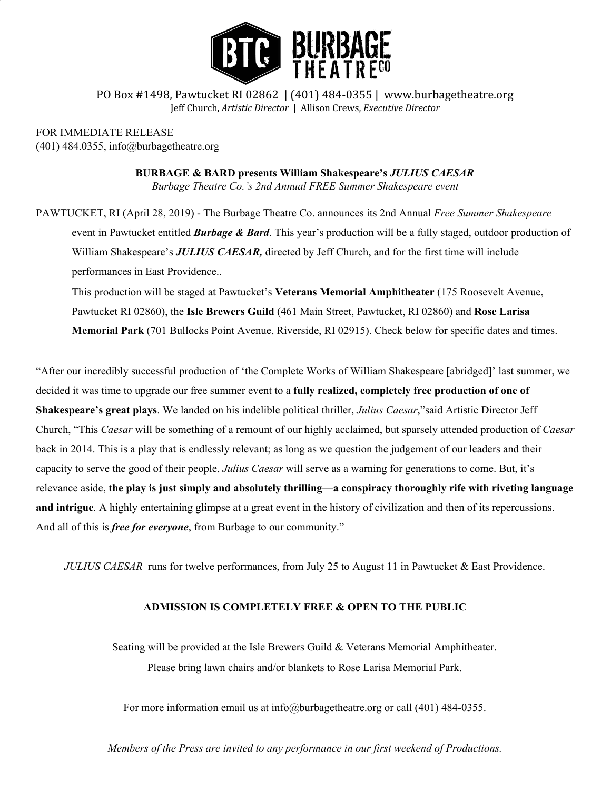

PO Box #1498, Pawtucket RI 02862 | (401) 484-0355 | www.burbagetheatre.org Jeff Church, *Artistic Director* | Allison Crews, *Executive Director*

FOR IMMEDIATE RELEASE (401) 484.0355, info@burbagetheatre.org

> **BURBAGE & BARD presents William Shakespeare's** *JULIUS CAESAR Burbage Theatre Co.'s 2nd Annual FREE Summer Shakespeare event*

PAWTUCKET, RI (April 28, 2019) - The Burbage Theatre Co. announces its 2nd Annual *Free Summer Shakespeare* event in Pawtucket entitled *Burbage & Bard*. This year's production will be a fully staged, outdoor production of William Shakespeare's *JULIUS CAESAR,* directed by Jeff Church, and for the first time will include performances in East Providence..

This production will be staged at Pawtucket's **Veterans Memorial Amphitheater** (175 Roosevelt Avenue, Pawtucket RI 02860), the **Isle Brewers Guild** (461 Main Street, Pawtucket, RI 02860) and **Rose Larisa Memorial Park** (701 Bullocks Point Avenue, Riverside, RI 02915). Check below for specific dates and times.

"After our incredibly successful production of 'the Complete Works of William Shakespeare [abridged]' last summer, we decided it was time to upgrade our free summer event to a **fully realized, completely free production of one of Shakespeare's great plays**. We landed on his indelible political thriller, *Julius Caesar*,"said Artistic Director Jeff Church, "This *Caesar* will be something of a remount of our highly acclaimed, but sparsely attended production of *Caesar* back in 2014. This is a play that is endlessly relevant; as long as we question the judgement of our leaders and their capacity to serve the good of their people, *Julius Caesar* will serve as a warning for generations to come. But, it's relevance aside, the play is just simply and absolutely thrilling—a conspiracy thoroughly rife with riveting language **and intrigue**. A highly entertaining glimpse at a great event in the history of civilization and then of its repercussions. And all of this is *free for everyone*, from Burbage to our community."

*JULIUS CAESAR* runs for twelve performances, from July 25 to August 11 in Pawtucket & East Providence.

## **ADMISSION IS COMPLETELY FREE & OPEN TO THE PUBLIC**

Seating will be provided at the Isle Brewers Guild & Veterans Memorial Amphitheater. Please bring lawn chairs and/or blankets to Rose Larisa Memorial Park.

For more information email us at info@burbagetheatre.org or call (401) 484-0355.

*Members of the Press are invited to any performance in our first weekend of Productions.*